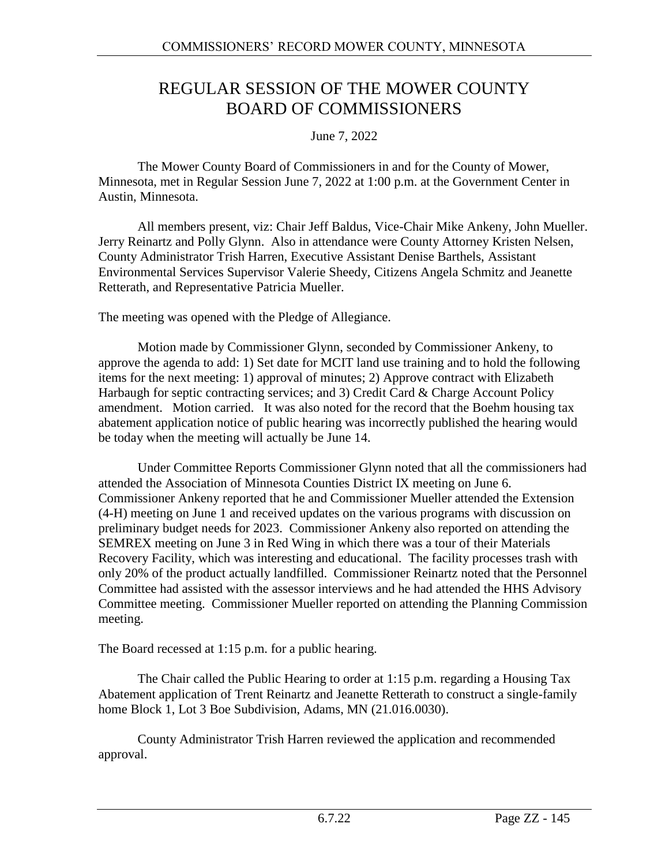# REGULAR SESSION OF THE MOWER COUNTY BOARD OF COMMISSIONERS

June 7, 2022

The Mower County Board of Commissioners in and for the County of Mower, Minnesota, met in Regular Session June 7, 2022 at 1:00 p.m. at the Government Center in Austin, Minnesota.

All members present, viz: Chair Jeff Baldus, Vice-Chair Mike Ankeny, John Mueller. Jerry Reinartz and Polly Glynn. Also in attendance were County Attorney Kristen Nelsen, County Administrator Trish Harren, Executive Assistant Denise Barthels, Assistant Environmental Services Supervisor Valerie Sheedy, Citizens Angela Schmitz and Jeanette Retterath, and Representative Patricia Mueller.

The meeting was opened with the Pledge of Allegiance.

Motion made by Commissioner Glynn, seconded by Commissioner Ankeny, to approve the agenda to add: 1) Set date for MCIT land use training and to hold the following items for the next meeting: 1) approval of minutes; 2) Approve contract with Elizabeth Harbaugh for septic contracting services; and 3) Credit Card & Charge Account Policy amendment. Motion carried. It was also noted for the record that the Boehm housing tax abatement application notice of public hearing was incorrectly published the hearing would be today when the meeting will actually be June 14.

Under Committee Reports Commissioner Glynn noted that all the commissioners had attended the Association of Minnesota Counties District IX meeting on June 6. Commissioner Ankeny reported that he and Commissioner Mueller attended the Extension (4-H) meeting on June 1 and received updates on the various programs with discussion on preliminary budget needs for 2023. Commissioner Ankeny also reported on attending the SEMREX meeting on June 3 in Red Wing in which there was a tour of their Materials Recovery Facility, which was interesting and educational. The facility processes trash with only 20% of the product actually landfilled. Commissioner Reinartz noted that the Personnel Committee had assisted with the assessor interviews and he had attended the HHS Advisory Committee meeting. Commissioner Mueller reported on attending the Planning Commission meeting.

The Board recessed at 1:15 p.m. for a public hearing.

The Chair called the Public Hearing to order at 1:15 p.m. regarding a Housing Tax Abatement application of Trent Reinartz and Jeanette Retterath to construct a single-family home Block 1, Lot 3 Boe Subdivision, Adams, MN (21.016.0030).

County Administrator Trish Harren reviewed the application and recommended approval.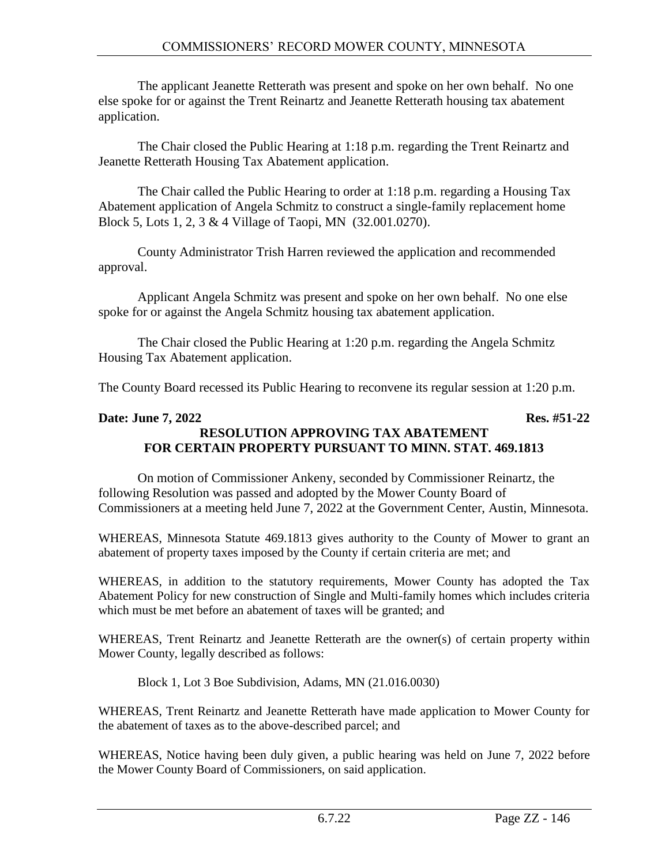The applicant Jeanette Retterath was present and spoke on her own behalf. No one else spoke for or against the Trent Reinartz and Jeanette Retterath housing tax abatement application.

The Chair closed the Public Hearing at 1:18 p.m. regarding the Trent Reinartz and Jeanette Retterath Housing Tax Abatement application.

The Chair called the Public Hearing to order at 1:18 p.m. regarding a Housing Tax Abatement application of Angela Schmitz to construct a single-family replacement home Block 5, Lots 1, 2, 3 & 4 Village of Taopi, MN (32.001.0270).

County Administrator Trish Harren reviewed the application and recommended approval.

Applicant Angela Schmitz was present and spoke on her own behalf. No one else spoke for or against the Angela Schmitz housing tax abatement application.

The Chair closed the Public Hearing at 1:20 p.m. regarding the Angela Schmitz Housing Tax Abatement application.

The County Board recessed its Public Hearing to reconvene its regular session at 1:20 p.m.

#### **Date: June 7, 2022** Res. #51-22 **RESOLUTION APPROVING TAX ABATEMENT FOR CERTAIN PROPERTY PURSUANT TO MINN. STAT. 469.1813**

On motion of Commissioner Ankeny, seconded by Commissioner Reinartz, the following Resolution was passed and adopted by the Mower County Board of Commissioners at a meeting held June 7, 2022 at the Government Center, Austin, Minnesota.

WHEREAS, Minnesota Statute 469.1813 gives authority to the County of Mower to grant an abatement of property taxes imposed by the County if certain criteria are met; and

WHEREAS, in addition to the statutory requirements, Mower County has adopted the Tax Abatement Policy for new construction of Single and Multi-family homes which includes criteria which must be met before an abatement of taxes will be granted; and

WHEREAS, Trent Reinartz and Jeanette Retterath are the owner(s) of certain property within Mower County, legally described as follows:

Block 1, Lot 3 Boe Subdivision, Adams, MN (21.016.0030)

WHEREAS, Trent Reinartz and Jeanette Retterath have made application to Mower County for the abatement of taxes as to the above-described parcel; and

WHEREAS, Notice having been duly given, a public hearing was held on June 7, 2022 before the Mower County Board of Commissioners, on said application.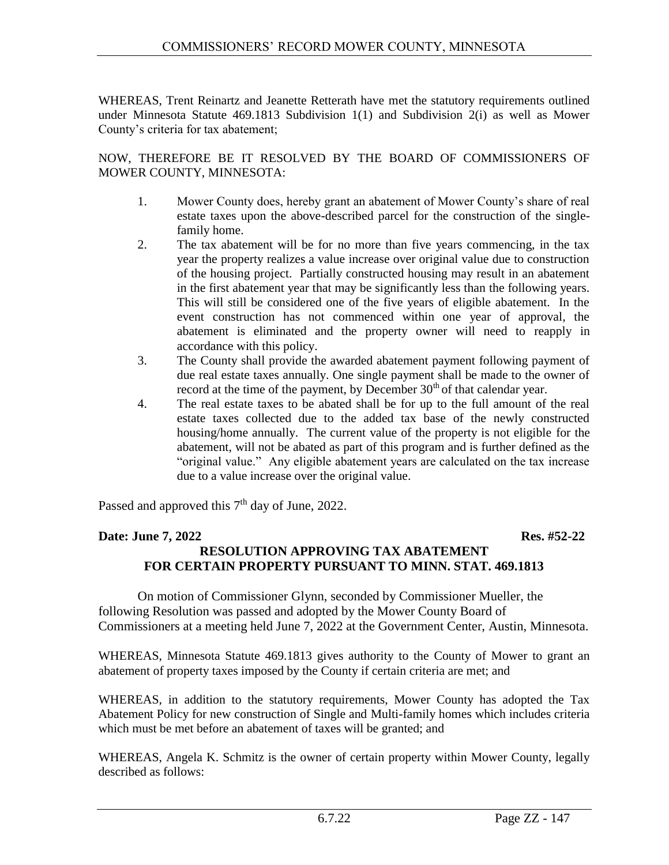WHEREAS, Trent Reinartz and Jeanette Retterath have met the statutory requirements outlined under Minnesota Statute 469.1813 Subdivision 1(1) and Subdivision 2(i) as well as Mower County's criteria for tax abatement;

NOW, THEREFORE BE IT RESOLVED BY THE BOARD OF COMMISSIONERS OF MOWER COUNTY, MINNESOTA:

- 1. Mower County does, hereby grant an abatement of Mower County's share of real estate taxes upon the above-described parcel for the construction of the singlefamily home.
- 2. The tax abatement will be for no more than five years commencing, in the tax year the property realizes a value increase over original value due to construction of the housing project. Partially constructed housing may result in an abatement in the first abatement year that may be significantly less than the following years. This will still be considered one of the five years of eligible abatement. In the event construction has not commenced within one year of approval, the abatement is eliminated and the property owner will need to reapply in accordance with this policy.
- 3. The County shall provide the awarded abatement payment following payment of due real estate taxes annually. One single payment shall be made to the owner of record at the time of the payment, by December  $30<sup>th</sup>$  of that calendar year.
- 4. The real estate taxes to be abated shall be for up to the full amount of the real estate taxes collected due to the added tax base of the newly constructed housing/home annually. The current value of the property is not eligible for the abatement, will not be abated as part of this program and is further defined as the "original value." Any eligible abatement years are calculated on the tax increase due to a value increase over the original value.

Passed and approved this  $7<sup>th</sup>$  day of June, 2022.

#### **Date: June 7, 2022** Res. #52-22 **RESOLUTION APPROVING TAX ABATEMENT FOR CERTAIN PROPERTY PURSUANT TO MINN. STAT. 469.1813**

On motion of Commissioner Glynn, seconded by Commissioner Mueller, the following Resolution was passed and adopted by the Mower County Board of Commissioners at a meeting held June 7, 2022 at the Government Center, Austin, Minnesota.

WHEREAS, Minnesota Statute 469.1813 gives authority to the County of Mower to grant an abatement of property taxes imposed by the County if certain criteria are met; and

WHEREAS, in addition to the statutory requirements, Mower County has adopted the Tax Abatement Policy for new construction of Single and Multi-family homes which includes criteria which must be met before an abatement of taxes will be granted; and

WHEREAS, Angela K. Schmitz is the owner of certain property within Mower County, legally described as follows: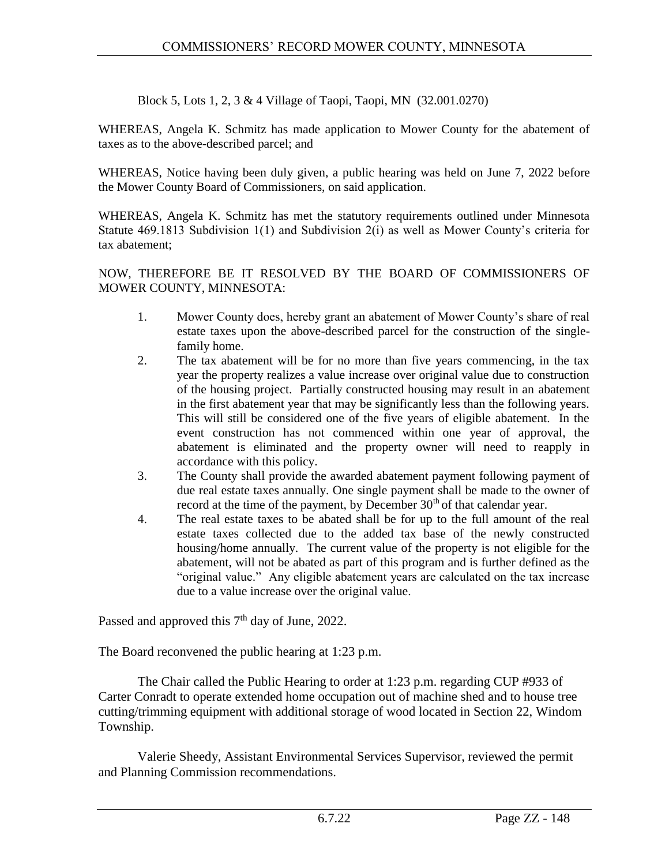Block 5, Lots 1, 2, 3 & 4 Village of Taopi, Taopi, MN (32.001.0270)

WHEREAS, Angela K. Schmitz has made application to Mower County for the abatement of taxes as to the above-described parcel; and

WHEREAS, Notice having been duly given, a public hearing was held on June 7, 2022 before the Mower County Board of Commissioners, on said application.

WHEREAS, Angela K. Schmitz has met the statutory requirements outlined under Minnesota Statute 469.1813 Subdivision 1(1) and Subdivision 2(i) as well as Mower County's criteria for tax abatement;

NOW, THEREFORE BE IT RESOLVED BY THE BOARD OF COMMISSIONERS OF MOWER COUNTY, MINNESOTA:

- 1. Mower County does, hereby grant an abatement of Mower County's share of real estate taxes upon the above-described parcel for the construction of the singlefamily home.
- 2. The tax abatement will be for no more than five years commencing, in the tax year the property realizes a value increase over original value due to construction of the housing project. Partially constructed housing may result in an abatement in the first abatement year that may be significantly less than the following years. This will still be considered one of the five years of eligible abatement. In the event construction has not commenced within one year of approval, the abatement is eliminated and the property owner will need to reapply in accordance with this policy.
- 3. The County shall provide the awarded abatement payment following payment of due real estate taxes annually. One single payment shall be made to the owner of record at the time of the payment, by December  $30<sup>th</sup>$  of that calendar year.
- 4. The real estate taxes to be abated shall be for up to the full amount of the real estate taxes collected due to the added tax base of the newly constructed housing/home annually. The current value of the property is not eligible for the abatement, will not be abated as part of this program and is further defined as the "original value." Any eligible abatement years are calculated on the tax increase due to a value increase over the original value.

Passed and approved this  $7<sup>th</sup>$  day of June, 2022.

The Board reconvened the public hearing at 1:23 p.m.

The Chair called the Public Hearing to order at 1:23 p.m. regarding CUP #933 of Carter Conradt to operate extended home occupation out of machine shed and to house tree cutting/trimming equipment with additional storage of wood located in Section 22, Windom Township.

Valerie Sheedy, Assistant Environmental Services Supervisor, reviewed the permit and Planning Commission recommendations.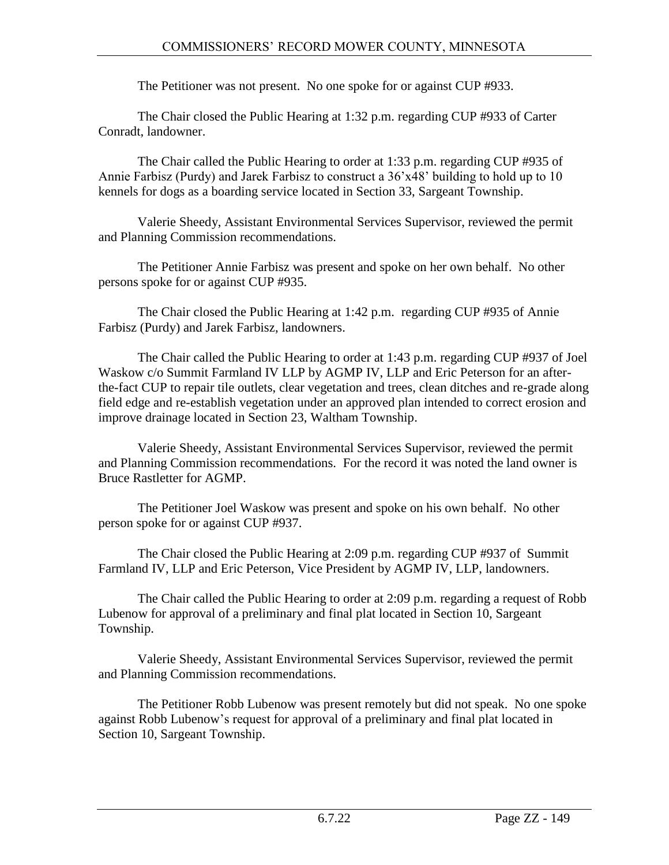The Petitioner was not present. No one spoke for or against CUP #933.

The Chair closed the Public Hearing at 1:32 p.m. regarding CUP #933 of Carter Conradt, landowner.

The Chair called the Public Hearing to order at 1:33 p.m. regarding CUP #935 of Annie Farbisz (Purdy) and Jarek Farbisz to construct a 36'x48' building to hold up to 10 kennels for dogs as a boarding service located in Section 33, Sargeant Township.

Valerie Sheedy, Assistant Environmental Services Supervisor, reviewed the permit and Planning Commission recommendations.

The Petitioner Annie Farbisz was present and spoke on her own behalf. No other persons spoke for or against CUP #935.

The Chair closed the Public Hearing at 1:42 p.m. regarding CUP #935 of Annie Farbisz (Purdy) and Jarek Farbisz, landowners.

The Chair called the Public Hearing to order at 1:43 p.m. regarding CUP #937 of Joel Waskow c/o Summit Farmland IV LLP by AGMP IV, LLP and Eric Peterson for an afterthe-fact CUP to repair tile outlets, clear vegetation and trees, clean ditches and re-grade along field edge and re-establish vegetation under an approved plan intended to correct erosion and improve drainage located in Section 23, Waltham Township.

Valerie Sheedy, Assistant Environmental Services Supervisor, reviewed the permit and Planning Commission recommendations. For the record it was noted the land owner is Bruce Rastletter for AGMP.

The Petitioner Joel Waskow was present and spoke on his own behalf. No other person spoke for or against CUP #937.

The Chair closed the Public Hearing at 2:09 p.m. regarding CUP #937 of Summit Farmland IV, LLP and Eric Peterson, Vice President by AGMP IV, LLP, landowners.

The Chair called the Public Hearing to order at 2:09 p.m. regarding a request of Robb Lubenow for approval of a preliminary and final plat located in Section 10, Sargeant Township.

Valerie Sheedy, Assistant Environmental Services Supervisor, reviewed the permit and Planning Commission recommendations.

The Petitioner Robb Lubenow was present remotely but did not speak. No one spoke against Robb Lubenow's request for approval of a preliminary and final plat located in Section 10, Sargeant Township.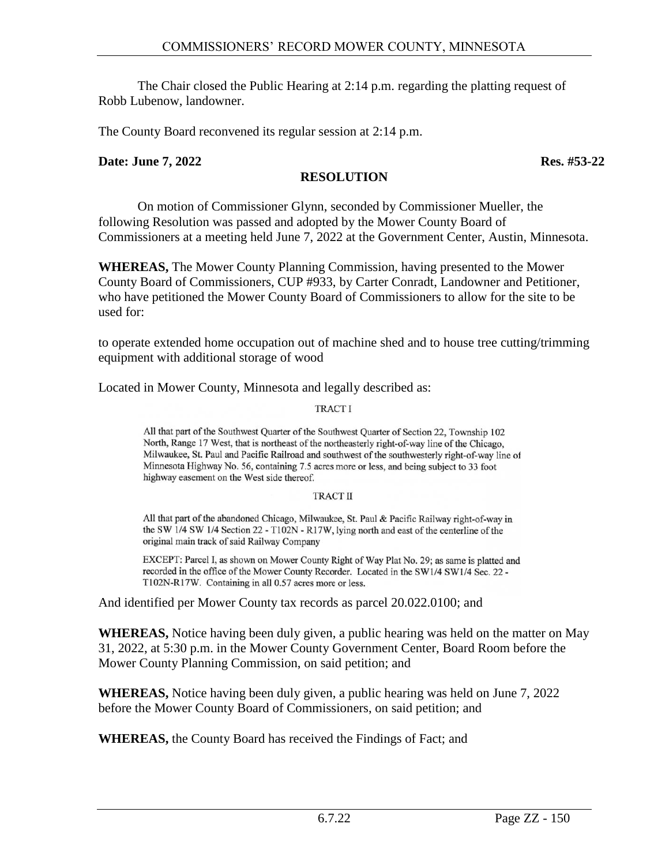The Chair closed the Public Hearing at 2:14 p.m. regarding the platting request of Robb Lubenow, landowner.

The County Board reconvened its regular session at 2:14 p.m.

#### **Date: June 7, 2022** Res. #53-22

#### **RESOLUTION**

On motion of Commissioner Glynn, seconded by Commissioner Mueller, the following Resolution was passed and adopted by the Mower County Board of Commissioners at a meeting held June 7, 2022 at the Government Center, Austin, Minnesota.

**WHEREAS,** The Mower County Planning Commission, having presented to the Mower County Board of Commissioners, CUP #933, by Carter Conradt, Landowner and Petitioner, who have petitioned the Mower County Board of Commissioners to allow for the site to be used for:

to operate extended home occupation out of machine shed and to house tree cutting/trimming equipment with additional storage of wood

Located in Mower County, Minnesota and legally described as:

#### **TRACTI**

All that part of the Southwest Quarter of the Southwest Quarter of Section 22, Township 102 North, Range 17 West, that is northeast of the northeasterly right-of-way line of the Chicago, Milwaukee, St. Paul and Pacific Railroad and southwest of the southwesterly right-of-way line of Minnesota Highway No. 56, containing 7.5 acres more or less, and being subject to 33 foot highway easement on the West side thereof.

#### **TRACT II**

All that part of the abandoned Chicago, Milwaukee, St. Paul & Pacific Railway right-of-way in the SW 1/4 SW 1/4 Section 22 - T102N - R17W, lying north and east of the centerline of the original main track of said Railway Company

EXCEPT: Parcel I, as shown on Mower County Right of Way Plat No. 29; as same is platted and recorded in the office of the Mower County Recorder. Located in the SW1/4 SW1/4 Sec. 22 -T102N-R17W. Containing in all 0.57 acres more or less.

And identified per Mower County tax records as parcel 20.022.0100; and

**WHEREAS,** Notice having been duly given, a public hearing was held on the matter on May 31, 2022, at 5:30 p.m. in the Mower County Government Center, Board Room before the Mower County Planning Commission, on said petition; and

**WHEREAS,** Notice having been duly given, a public hearing was held on June 7, 2022 before the Mower County Board of Commissioners, on said petition; and

**WHEREAS,** the County Board has received the Findings of Fact; and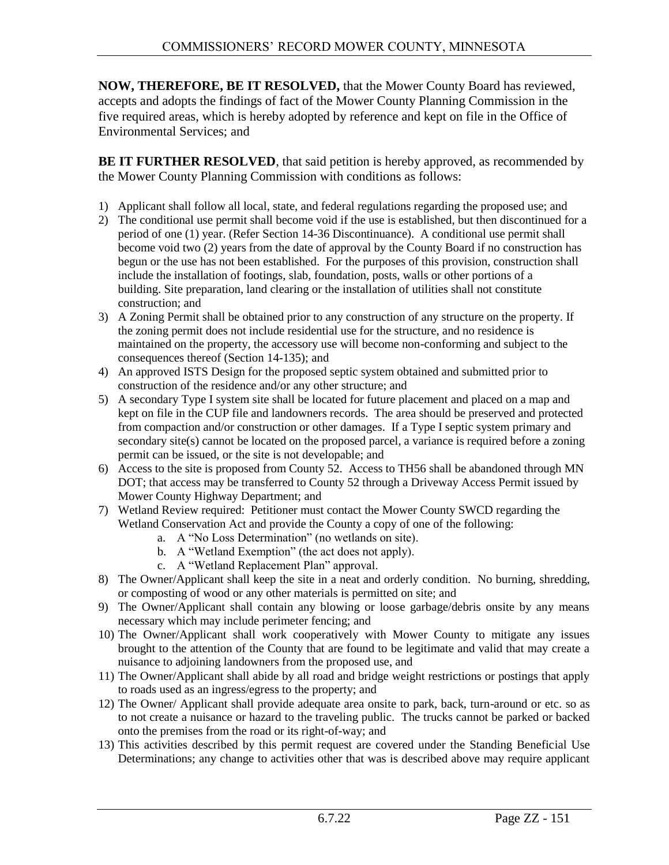**NOW, THEREFORE, BE IT RESOLVED,** that the Mower County Board has reviewed, accepts and adopts the findings of fact of the Mower County Planning Commission in the five required areas, which is hereby adopted by reference and kept on file in the Office of Environmental Services; and

**BE IT FURTHER RESOLVED**, that said petition is hereby approved, as recommended by the Mower County Planning Commission with conditions as follows:

- 1) Applicant shall follow all local, state, and federal regulations regarding the proposed use; and
- 2) The conditional use permit shall become void if the use is established, but then discontinued for a period of one (1) year. (Refer Section 14-36 Discontinuance). A conditional use permit shall become void two (2) years from the date of approval by the County Board if no construction has begun or the use has not been established. For the purposes of this provision, construction shall include the installation of footings, slab, foundation, posts, walls or other portions of a building. Site preparation, land clearing or the installation of utilities shall not constitute construction; and
- 3) A Zoning Permit shall be obtained prior to any construction of any structure on the property. If the zoning permit does not include residential use for the structure, and no residence is maintained on the property, the accessory use will become non-conforming and subject to the consequences thereof (Section 14-135); and
- 4) An approved ISTS Design for the proposed septic system obtained and submitted prior to construction of the residence and/or any other structure; and
- 5) A secondary Type I system site shall be located for future placement and placed on a map and kept on file in the CUP file and landowners records. The area should be preserved and protected from compaction and/or construction or other damages. If a Type I septic system primary and secondary site(s) cannot be located on the proposed parcel, a variance is required before a zoning permit can be issued, or the site is not developable; and
- 6) Access to the site is proposed from County 52. Access to TH56 shall be abandoned through MN DOT; that access may be transferred to County 52 through a Driveway Access Permit issued by Mower County Highway Department; and
- 7) Wetland Review required: Petitioner must contact the Mower County SWCD regarding the Wetland Conservation Act and provide the County a copy of one of the following:
	- a. A "No Loss Determination" (no wetlands on site).
	- b. A "Wetland Exemption" (the act does not apply).
	- c. A "Wetland Replacement Plan" approval.
- 8) The Owner/Applicant shall keep the site in a neat and orderly condition. No burning, shredding, or composting of wood or any other materials is permitted on site; and
- 9) The Owner/Applicant shall contain any blowing or loose garbage/debris onsite by any means necessary which may include perimeter fencing; and
- 10) The Owner/Applicant shall work cooperatively with Mower County to mitigate any issues brought to the attention of the County that are found to be legitimate and valid that may create a nuisance to adjoining landowners from the proposed use, and
- 11) The Owner/Applicant shall abide by all road and bridge weight restrictions or postings that apply to roads used as an ingress/egress to the property; and
- 12) The Owner/ Applicant shall provide adequate area onsite to park, back, turn-around or etc. so as to not create a nuisance or hazard to the traveling public. The trucks cannot be parked or backed onto the premises from the road or its right-of-way; and
- 13) This activities described by this permit request are covered under the Standing Beneficial Use Determinations; any change to activities other that was is described above may require applicant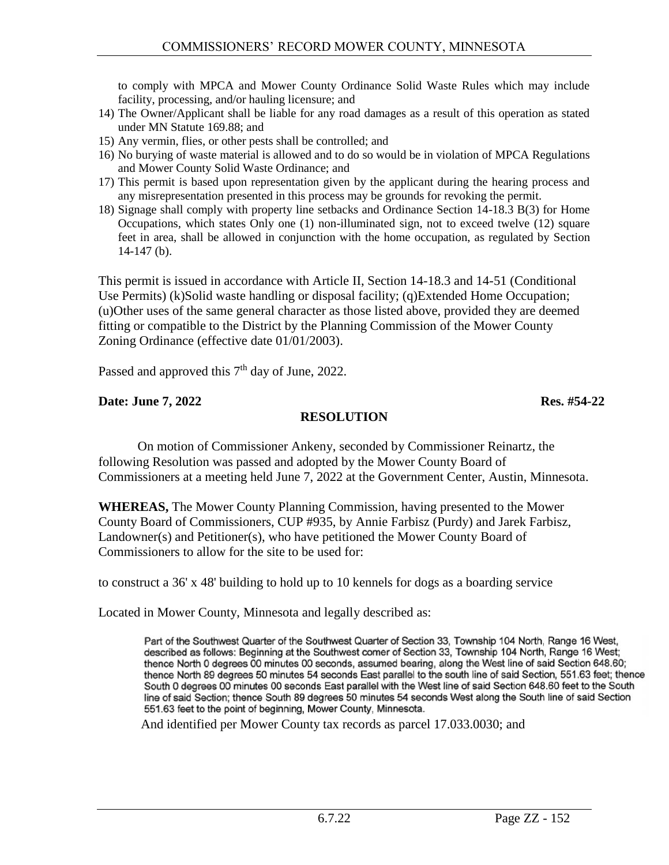to comply with MPCA and Mower County Ordinance Solid Waste Rules which may include facility, processing, and/or hauling licensure; and

- 14) The Owner/Applicant shall be liable for any road damages as a result of this operation as stated under MN Statute 169.88; and
- 15) Any vermin, flies, or other pests shall be controlled; and
- 16) No burying of waste material is allowed and to do so would be in violation of MPCA Regulations and Mower County Solid Waste Ordinance; and
- 17) This permit is based upon representation given by the applicant during the hearing process and any misrepresentation presented in this process may be grounds for revoking the permit.
- 18) Signage shall comply with property line setbacks and Ordinance Section 14-18.3 B(3) for Home Occupations, which states Only one (1) non-illuminated sign, not to exceed twelve (12) square feet in area, shall be allowed in conjunction with the home occupation, as regulated by Section 14-147 (b).

This permit is issued in accordance with Article II, Section 14-18.3 and 14-51 (Conditional Use Permits) (k)Solid waste handling or disposal facility; (q)Extended Home Occupation; (u)Other uses of the same general character as those listed above, provided they are deemed fitting or compatible to the District by the Planning Commission of the Mower County Zoning Ordinance (effective date 01/01/2003).

Passed and approved this  $7<sup>th</sup>$  day of June, 2022.

#### **Date: June 7, 2022** Res. #54-22

#### **RESOLUTION**

On motion of Commissioner Ankeny, seconded by Commissioner Reinartz, the following Resolution was passed and adopted by the Mower County Board of Commissioners at a meeting held June 7, 2022 at the Government Center, Austin, Minnesota.

**WHEREAS,** The Mower County Planning Commission, having presented to the Mower County Board of Commissioners, CUP #935, by Annie Farbisz (Purdy) and Jarek Farbisz, Landowner(s) and Petitioner(s), who have petitioned the Mower County Board of Commissioners to allow for the site to be used for:

to construct a 36' x 48' building to hold up to 10 kennels for dogs as a boarding service

Located in Mower County, Minnesota and legally described as:

Part of the Southwest Quarter of the Southwest Quarter of Section 33, Township 104 North, Range 16 West, described as follows: Beginning at the Southwest comer of Section 33, Township 104 North, Range 16 West; thence North 0 degrees 00 minutes 00 seconds, assumed bearing, along the West line of said Section 648.60; thence North 89 degrees 50 minutes 54 seconds East parallel to the south line of said Section, 551.63 feet; thence South 0 degrees 00 minutes 00 seconds East parallel with the West line of said Section 648.60 feet to the South line of said Section; thence South 89 degrees 50 minutes 54 seconds West along the South line of said Section 551.63 feet to the point of beginning, Mower County, Minnesota.

And identified per Mower County tax records as parcel 17.033.0030; and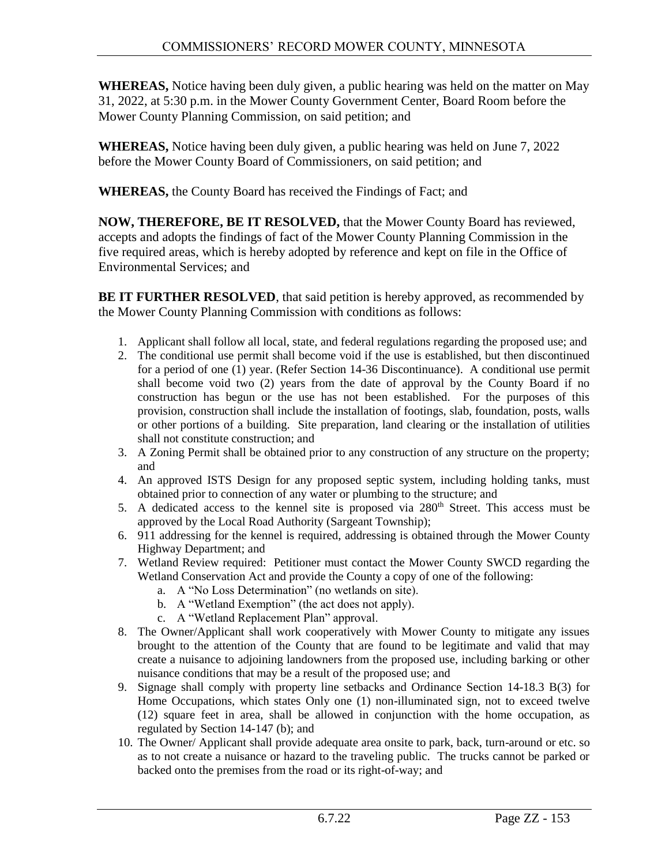**WHEREAS,** Notice having been duly given, a public hearing was held on the matter on May 31, 2022, at 5:30 p.m. in the Mower County Government Center, Board Room before the Mower County Planning Commission, on said petition; and

**WHEREAS,** Notice having been duly given, a public hearing was held on June 7, 2022 before the Mower County Board of Commissioners, on said petition; and

**WHEREAS,** the County Board has received the Findings of Fact; and

**NOW, THEREFORE, BE IT RESOLVED,** that the Mower County Board has reviewed, accepts and adopts the findings of fact of the Mower County Planning Commission in the five required areas, which is hereby adopted by reference and kept on file in the Office of Environmental Services; and

**BE IT FURTHER RESOLVED**, that said petition is hereby approved, as recommended by the Mower County Planning Commission with conditions as follows:

- 1. Applicant shall follow all local, state, and federal regulations regarding the proposed use; and
- 2. The conditional use permit shall become void if the use is established, but then discontinued for a period of one (1) year. (Refer Section 14-36 Discontinuance). A conditional use permit shall become void two (2) years from the date of approval by the County Board if no construction has begun or the use has not been established. For the purposes of this provision, construction shall include the installation of footings, slab, foundation, posts, walls or other portions of a building. Site preparation, land clearing or the installation of utilities shall not constitute construction; and
- 3. A Zoning Permit shall be obtained prior to any construction of any structure on the property; and
- 4. An approved ISTS Design for any proposed septic system, including holding tanks, must obtained prior to connection of any water or plumbing to the structure; and
- 5. A dedicated access to the kennel site is proposed via 280<sup>th</sup> Street. This access must be approved by the Local Road Authority (Sargeant Township);
- 6. 911 addressing for the kennel is required, addressing is obtained through the Mower County Highway Department; and
- 7. Wetland Review required: Petitioner must contact the Mower County SWCD regarding the Wetland Conservation Act and provide the County a copy of one of the following:
	- a. A "No Loss Determination" (no wetlands on site).
	- b. A "Wetland Exemption" (the act does not apply).
	- c. A "Wetland Replacement Plan" approval.
- 8. The Owner/Applicant shall work cooperatively with Mower County to mitigate any issues brought to the attention of the County that are found to be legitimate and valid that may create a nuisance to adjoining landowners from the proposed use, including barking or other nuisance conditions that may be a result of the proposed use; and
- 9. Signage shall comply with property line setbacks and Ordinance Section 14-18.3 B(3) for Home Occupations, which states Only one (1) non-illuminated sign, not to exceed twelve (12) square feet in area, shall be allowed in conjunction with the home occupation, as regulated by Section 14-147 (b); and
- 10. The Owner/ Applicant shall provide adequate area onsite to park, back, turn-around or etc. so as to not create a nuisance or hazard to the traveling public. The trucks cannot be parked or backed onto the premises from the road or its right-of-way; and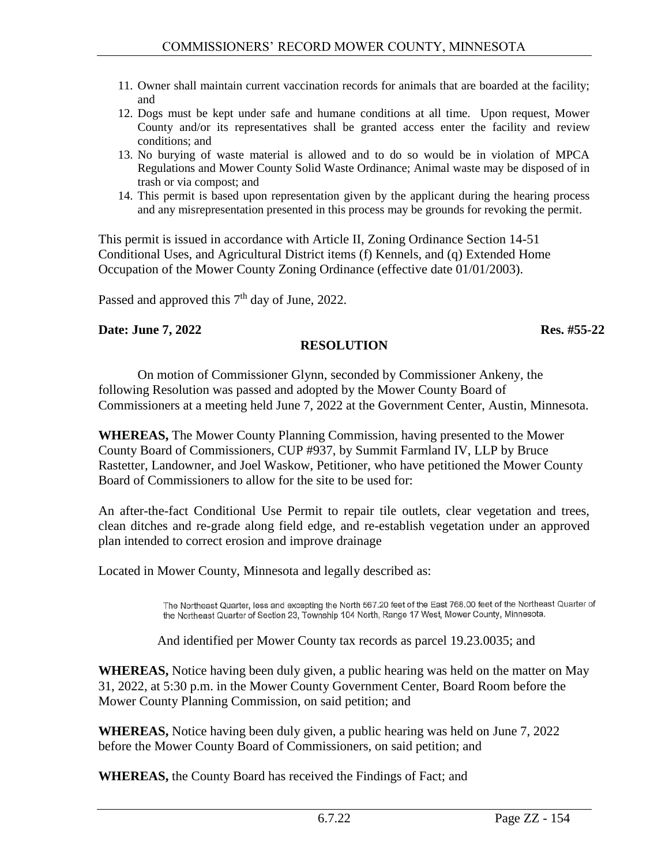- 11. Owner shall maintain current vaccination records for animals that are boarded at the facility; and
- 12. Dogs must be kept under safe and humane conditions at all time. Upon request, Mower County and/or its representatives shall be granted access enter the facility and review conditions; and
- 13. No burying of waste material is allowed and to do so would be in violation of MPCA Regulations and Mower County Solid Waste Ordinance; Animal waste may be disposed of in trash or via compost; and
- 14. This permit is based upon representation given by the applicant during the hearing process and any misrepresentation presented in this process may be grounds for revoking the permit.

This permit is issued in accordance with Article II, Zoning Ordinance Section 14-51 Conditional Uses, and Agricultural District items (f) Kennels, and (q) Extended Home Occupation of the Mower County Zoning Ordinance (effective date 01/01/2003).

Passed and approved this 7<sup>th</sup> day of June, 2022.

#### **Date: June 7, 2022** Res. #55-22

#### **RESOLUTION**

On motion of Commissioner Glynn, seconded by Commissioner Ankeny, the following Resolution was passed and adopted by the Mower County Board of Commissioners at a meeting held June 7, 2022 at the Government Center, Austin, Minnesota.

**WHEREAS,** The Mower County Planning Commission, having presented to the Mower County Board of Commissioners, CUP #937, by Summit Farmland IV, LLP by Bruce Rastetter, Landowner, and Joel Waskow, Petitioner, who have petitioned the Mower County Board of Commissioners to allow for the site to be used for:

An after-the-fact Conditional Use Permit to repair tile outlets, clear vegetation and trees, clean ditches and re-grade along field edge, and re-establish vegetation under an approved plan intended to correct erosion and improve drainage

Located in Mower County, Minnesota and legally described as:

The Northeast Quarter, less and excepting the North 567.20 feet of the East 768.00 feet of the Northeast Quarter of the Northeast Quarter of Section 23, Township 104 North, Range 17 West, Mower County, Minnesota.

And identified per Mower County tax records as parcel 19.23.0035; and

**WHEREAS,** Notice having been duly given, a public hearing was held on the matter on May 31, 2022, at 5:30 p.m. in the Mower County Government Center, Board Room before the Mower County Planning Commission, on said petition; and

**WHEREAS,** Notice having been duly given, a public hearing was held on June 7, 2022 before the Mower County Board of Commissioners, on said petition; and

**WHEREAS,** the County Board has received the Findings of Fact; and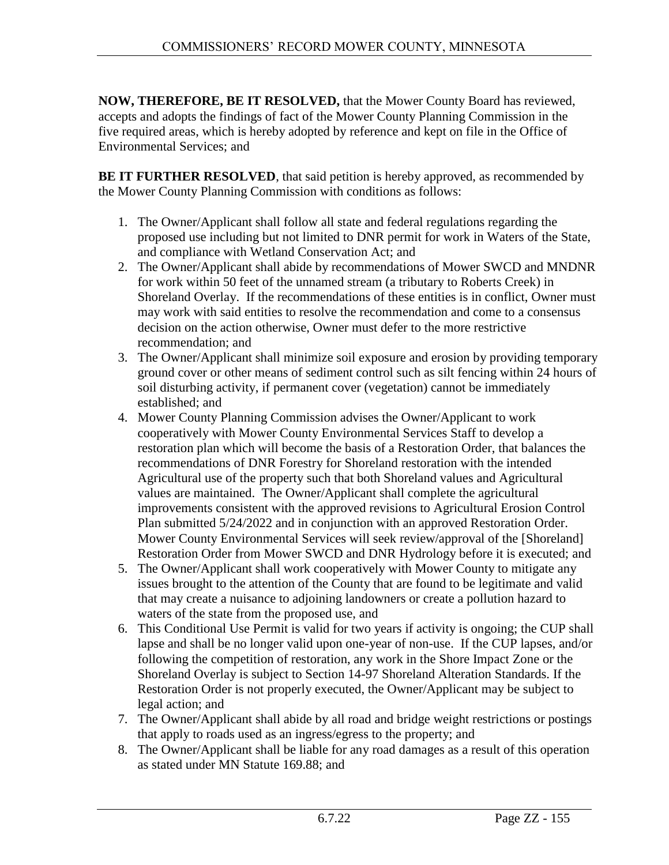**NOW, THEREFORE, BE IT RESOLVED,** that the Mower County Board has reviewed, accepts and adopts the findings of fact of the Mower County Planning Commission in the five required areas, which is hereby adopted by reference and kept on file in the Office of Environmental Services; and

**BE IT FURTHER RESOLVED**, that said petition is hereby approved, as recommended by the Mower County Planning Commission with conditions as follows:

- 1. The Owner/Applicant shall follow all state and federal regulations regarding the proposed use including but not limited to DNR permit for work in Waters of the State, and compliance with Wetland Conservation Act; and
- 2. The Owner/Applicant shall abide by recommendations of Mower SWCD and MNDNR for work within 50 feet of the unnamed stream (a tributary to Roberts Creek) in Shoreland Overlay. If the recommendations of these entities is in conflict, Owner must may work with said entities to resolve the recommendation and come to a consensus decision on the action otherwise, Owner must defer to the more restrictive recommendation; and
- 3. The Owner/Applicant shall minimize soil exposure and erosion by providing temporary ground cover or other means of sediment control such as silt fencing within 24 hours of soil disturbing activity, if permanent cover (vegetation) cannot be immediately established; and
- 4. Mower County Planning Commission advises the Owner/Applicant to work cooperatively with Mower County Environmental Services Staff to develop a restoration plan which will become the basis of a Restoration Order, that balances the recommendations of DNR Forestry for Shoreland restoration with the intended Agricultural use of the property such that both Shoreland values and Agricultural values are maintained. The Owner/Applicant shall complete the agricultural improvements consistent with the approved revisions to Agricultural Erosion Control Plan submitted 5/24/2022 and in conjunction with an approved Restoration Order. Mower County Environmental Services will seek review/approval of the [Shoreland] Restoration Order from Mower SWCD and DNR Hydrology before it is executed; and
- 5. The Owner/Applicant shall work cooperatively with Mower County to mitigate any issues brought to the attention of the County that are found to be legitimate and valid that may create a nuisance to adjoining landowners or create a pollution hazard to waters of the state from the proposed use, and
- 6. This Conditional Use Permit is valid for two years if activity is ongoing; the CUP shall lapse and shall be no longer valid upon one-year of non-use. If the CUP lapses, and/or following the competition of restoration, any work in the Shore Impact Zone or the Shoreland Overlay is subject to Section 14-97 Shoreland Alteration Standards. If the Restoration Order is not properly executed, the Owner/Applicant may be subject to legal action; and
- 7. The Owner/Applicant shall abide by all road and bridge weight restrictions or postings that apply to roads used as an ingress/egress to the property; and
- 8. The Owner/Applicant shall be liable for any road damages as a result of this operation as stated under MN Statute 169.88; and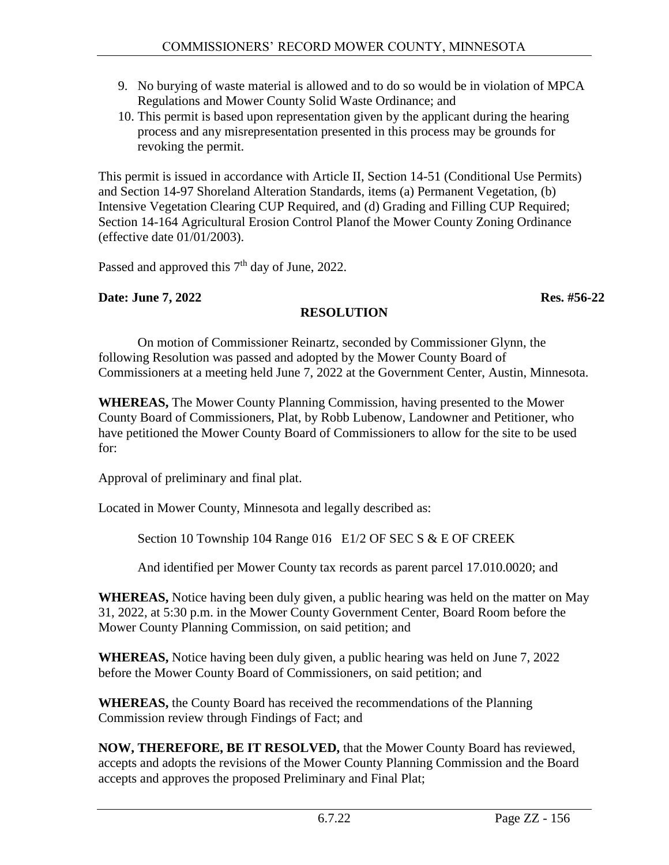- 9. No burying of waste material is allowed and to do so would be in violation of MPCA Regulations and Mower County Solid Waste Ordinance; and
- 10. This permit is based upon representation given by the applicant during the hearing process and any misrepresentation presented in this process may be grounds for revoking the permit.

This permit is issued in accordance with Article II, Section 14-51 (Conditional Use Permits) and Section 14-97 Shoreland Alteration Standards, items (a) Permanent Vegetation, (b) Intensive Vegetation Clearing CUP Required, and (d) Grading and Filling CUP Required; Section 14-164 Agricultural Erosion Control Planof the Mower County Zoning Ordinance (effective date 01/01/2003).

Passed and approved this  $7<sup>th</sup>$  day of June, 2022.

#### **Date: June 7, 2022 Res. #56-22**

### **RESOLUTION**

On motion of Commissioner Reinartz, seconded by Commissioner Glynn, the following Resolution was passed and adopted by the Mower County Board of Commissioners at a meeting held June 7, 2022 at the Government Center, Austin, Minnesota.

**WHEREAS,** The Mower County Planning Commission, having presented to the Mower County Board of Commissioners, Plat, by Robb Lubenow, Landowner and Petitioner, who have petitioned the Mower County Board of Commissioners to allow for the site to be used for:

Approval of preliminary and final plat.

Located in Mower County, Minnesota and legally described as:

Section 10 Township 104 Range 016 E1/2 OF SEC S & E OF CREEK

And identified per Mower County tax records as parent parcel 17.010.0020; and

**WHEREAS,** Notice having been duly given, a public hearing was held on the matter on May 31, 2022, at 5:30 p.m. in the Mower County Government Center, Board Room before the Mower County Planning Commission, on said petition; and

**WHEREAS,** Notice having been duly given, a public hearing was held on June 7, 2022 before the Mower County Board of Commissioners, on said petition; and

**WHEREAS,** the County Board has received the recommendations of the Planning Commission review through Findings of Fact; and

**NOW, THEREFORE, BE IT RESOLVED,** that the Mower County Board has reviewed, accepts and adopts the revisions of the Mower County Planning Commission and the Board accepts and approves the proposed Preliminary and Final Plat;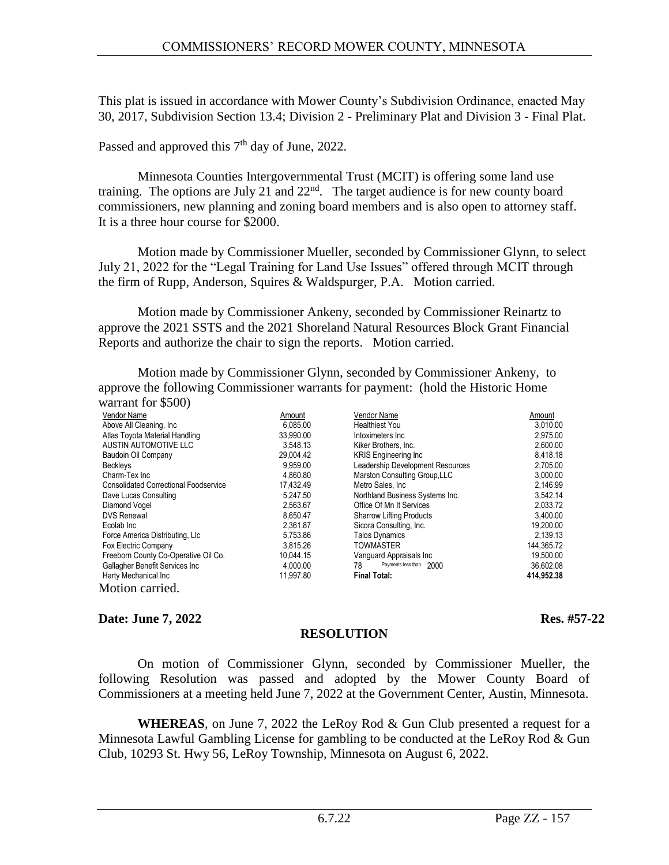This plat is issued in accordance with Mower County's Subdivision Ordinance, enacted May 30, 2017, Subdivision Section 13.4; Division 2 - Preliminary Plat and Division 3 - Final Plat.

Passed and approved this  $7<sup>th</sup>$  day of June, 2022.

Minnesota Counties Intergovernmental Trust (MCIT) is offering some land use training. The options are July 21 and  $22<sup>nd</sup>$ . The target audience is for new county board commissioners, new planning and zoning board members and is also open to attorney staff. It is a three hour course for \$2000.

Motion made by Commissioner Mueller, seconded by Commissioner Glynn, to select July 21, 2022 for the "Legal Training for Land Use Issues" offered through MCIT through the firm of Rupp, Anderson, Squires & Waldspurger, P.A. Motion carried.

Motion made by Commissioner Ankeny, seconded by Commissioner Reinartz to approve the 2021 SSTS and the 2021 Shoreland Natural Resources Block Grant Financial Reports and authorize the chair to sign the reports. Motion carried.

Motion made by Commissioner Glynn, seconded by Commissioner Ankeny, to approve the following Commissioner warrants for payment: (hold the Historic Home warrant for  $$500$ 

| $w$ all allever $\psi$ $\cup$ $\cup$ $\psi$  |           |                                  |            |
|----------------------------------------------|-----------|----------------------------------|------------|
| Vendor Name                                  | Amount    | Vendor Name                      | Amount     |
| Above All Cleaning, Inc.                     | 6.085.00  | Healthiest You                   | 3,010.00   |
| Atlas Toyota Material Handling               | 33,990.00 | Intoximeters Inc                 | 2,975.00   |
| AUSTIN AUTOMOTIVE LLC                        | 3.548.13  | Kiker Brothers, Inc.             | 2,600.00   |
| Baudoin Oil Company                          | 29,004.42 | <b>KRIS</b> Engineering Inc      | 8,418.18   |
| <b>Beckleys</b>                              | 9,959.00  | Leadership Development Resources | 2,705.00   |
| Charm-Tex Inc                                | 4.860.80  | Marston Consulting Group, LLC    | 3,000.00   |
| <b>Consolidated Correctional Foodservice</b> | 17.432.49 | Metro Sales, Inc.                | 2,146.99   |
| Dave Lucas Consulting                        | 5.247.50  | Northland Business Systems Inc.  | 3.542.14   |
| Diamond Vogel                                | 2,563.67  | Office Of Mn It Services         | 2,033.72   |
| <b>DVS Renewal</b>                           | 8.650.47  | <b>Sharrow Lifting Products</b>  | 3.400.00   |
| Ecolab Inc                                   | 2,361.87  | Sicora Consulting, Inc.          | 19,200.00  |
| Force America Distributing, Llc              | 5,753.86  | <b>Talos Dynamics</b>            | 2,139.13   |
| Fox Electric Company                         | 3,815.26  | TOWMASTER                        | 144,365.72 |
| Freeborn County Co-Operative Oil Co.         | 10,044.15 | Vanguard Appraisals Inc          | 19,500.00  |
| Gallagher Benefit Services Inc               | 4,000.00  | Payments less than 2000<br>78    | 36,602.08  |
| Harty Mechanical Inc                         | 11,997.80 | <b>Final Total:</b>              | 414,952.38 |
| Motion carried.                              |           |                                  |            |

#### **Date: June 7, 2022 Res. #57-22**

On motion of Commissioner Glynn, seconded by Commissioner Mueller, the following Resolution was passed and adopted by the Mower County Board of Commissioners at a meeting held June 7, 2022 at the Government Center, Austin, Minnesota.

**RESOLUTION**

**WHEREAS**, on June 7, 2022 the LeRoy Rod & Gun Club presented a request for a Minnesota Lawful Gambling License for gambling to be conducted at the LeRoy Rod & Gun Club, 10293 St. Hwy 56, LeRoy Township, Minnesota on August 6, 2022.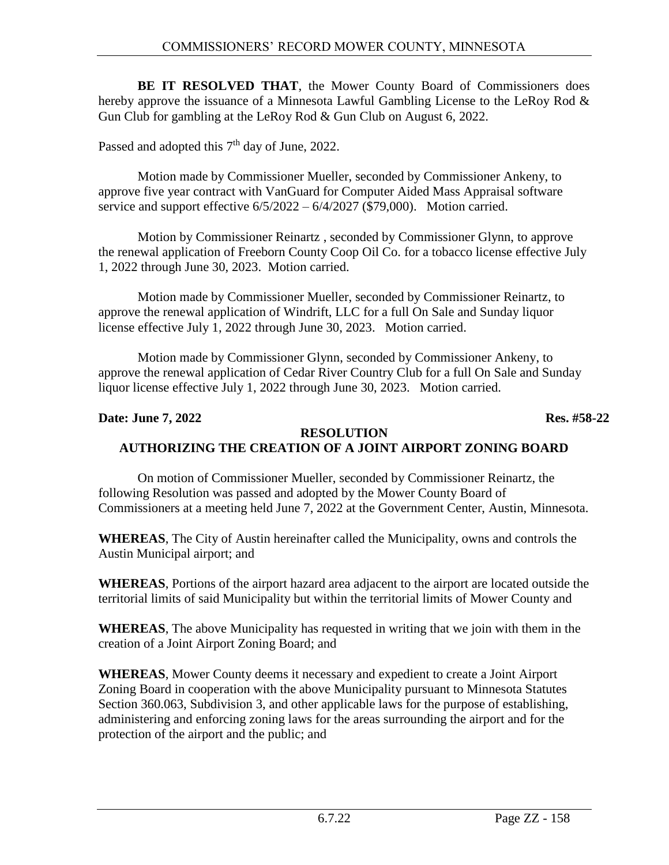**BE IT RESOLVED THAT**, the Mower County Board of Commissioners does hereby approve the issuance of a Minnesota Lawful Gambling License to the LeRoy Rod & Gun Club for gambling at the LeRoy Rod & Gun Club on August 6, 2022.

Passed and adopted this  $7<sup>th</sup>$  day of June, 2022.

Motion made by Commissioner Mueller, seconded by Commissioner Ankeny, to approve five year contract with VanGuard for Computer Aided Mass Appraisal software service and support effective  $6/5/2022 - 6/4/2027$  (\$79,000). Motion carried.

Motion by Commissioner Reinartz , seconded by Commissioner Glynn, to approve the renewal application of Freeborn County Coop Oil Co. for a tobacco license effective July 1, 2022 through June 30, 2023. Motion carried.

Motion made by Commissioner Mueller, seconded by Commissioner Reinartz, to approve the renewal application of Windrift, LLC for a full On Sale and Sunday liquor license effective July 1, 2022 through June 30, 2023. Motion carried.

Motion made by Commissioner Glynn, seconded by Commissioner Ankeny, to approve the renewal application of Cedar River Country Club for a full On Sale and Sunday liquor license effective July 1, 2022 through June 30, 2023. Motion carried.

### **Date: June 7, 2022 Res. #58-22**

#### **RESOLUTION AUTHORIZING THE CREATION OF A JOINT AIRPORT ZONING BOARD**

On motion of Commissioner Mueller, seconded by Commissioner Reinartz, the following Resolution was passed and adopted by the Mower County Board of Commissioners at a meeting held June 7, 2022 at the Government Center, Austin, Minnesota.

**WHEREAS**, The City of Austin hereinafter called the Municipality, owns and controls the Austin Municipal airport; and

**WHEREAS**, Portions of the airport hazard area adjacent to the airport are located outside the territorial limits of said Municipality but within the territorial limits of Mower County and

**WHEREAS**, The above Municipality has requested in writing that we join with them in the creation of a Joint Airport Zoning Board; and

**WHEREAS**, Mower County deems it necessary and expedient to create a Joint Airport Zoning Board in cooperation with the above Municipality pursuant to Minnesota Statutes Section 360.063, Subdivision 3, and other applicable laws for the purpose of establishing, administering and enforcing zoning laws for the areas surrounding the airport and for the protection of the airport and the public; and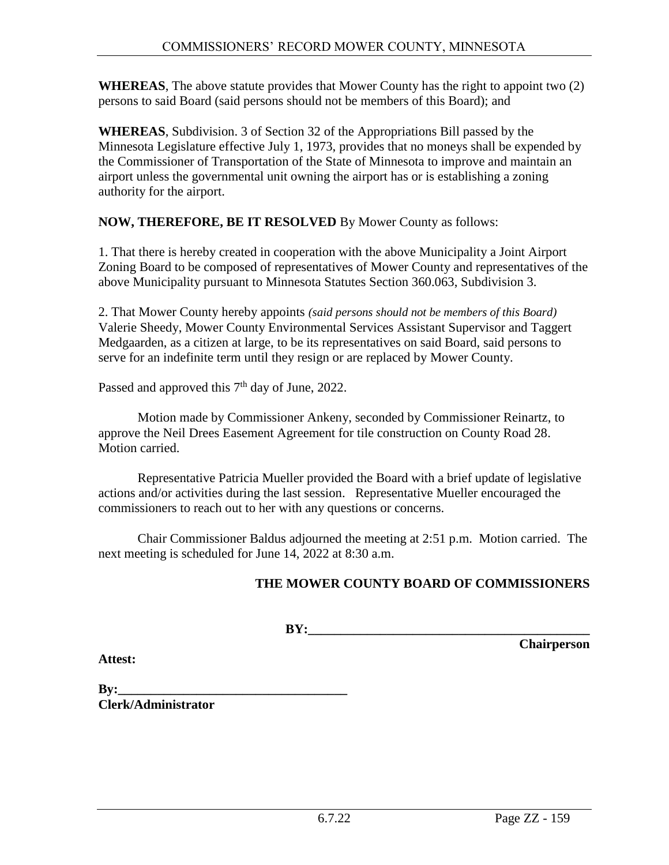**WHEREAS**, The above statute provides that Mower County has the right to appoint two (2) persons to said Board (said persons should not be members of this Board); and

**WHEREAS**, Subdivision. 3 of Section 32 of the Appropriations Bill passed by the Minnesota Legislature effective July 1, 1973, provides that no moneys shall be expended by the Commissioner of Transportation of the State of Minnesota to improve and maintain an airport unless the governmental unit owning the airport has or is establishing a zoning authority for the airport.

#### **NOW, THEREFORE, BE IT RESOLVED** By Mower County as follows:

1. That there is hereby created in cooperation with the above Municipality a Joint Airport Zoning Board to be composed of representatives of Mower County and representatives of the above Municipality pursuant to Minnesota Statutes Section 360.063, Subdivision 3.

2. That Mower County hereby appoints *(said persons should not be members of this Board)* Valerie Sheedy, Mower County Environmental Services Assistant Supervisor and Taggert Medgaarden, as a citizen at large, to be its representatives on said Board, said persons to serve for an indefinite term until they resign or are replaced by Mower County.

Passed and approved this  $7<sup>th</sup>$  day of June, 2022.

Motion made by Commissioner Ankeny, seconded by Commissioner Reinartz, to approve the Neil Drees Easement Agreement for tile construction on County Road 28. Motion carried.

Representative Patricia Mueller provided the Board with a brief update of legislative actions and/or activities during the last session. Representative Mueller encouraged the commissioners to reach out to her with any questions or concerns.

Chair Commissioner Baldus adjourned the meeting at 2:51 p.m. Motion carried. The next meeting is scheduled for June 14, 2022 at 8:30 a.m.

### **THE MOWER COUNTY BOARD OF COMMISSIONERS**

**BY:** 

**Chairperson**

**Attest:**

**By:\_\_\_\_\_\_\_\_\_\_\_\_\_\_\_\_\_\_\_\_\_\_\_\_\_\_\_\_\_\_\_\_\_\_\_ Clerk/Administrator**